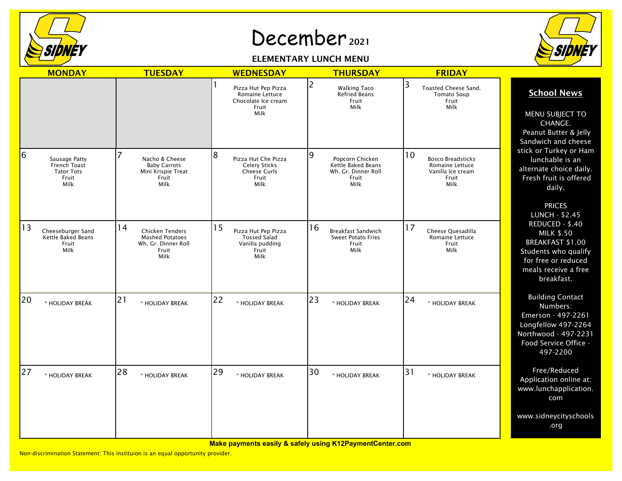

## December 2021

## ELEMENTARY LUNCH MENU



| <b>MONDAY</b>                                                            | <b>TUESDAY</b>                                                                                 | <b>WEDNESDAY</b>                                                                     | <b>THURSDAY</b>                                                                    | <b>FRIDAY</b>                                                                           |                                                                                                                                                      |
|--------------------------------------------------------------------------|------------------------------------------------------------------------------------------------|--------------------------------------------------------------------------------------|------------------------------------------------------------------------------------|-----------------------------------------------------------------------------------------|------------------------------------------------------------------------------------------------------------------------------------------------------|
|                                                                          |                                                                                                | Pizza Hut Pep Pizza<br>Romaine Lettuce<br>Chocolate Ice cream<br>Fruit<br>Milk       | 2<br><b>Walking Taco</b><br>Refried Beans<br>Fruit<br>Milk                         | 3<br>Toasted Cheese Sand.<br><b>Tomato Soup</b><br>Fruit<br>Milk                        | <b>School News</b><br>MENU SUBJECT TO<br>CHANGE.<br>Peanut Butter & Jelly<br>Sandwich and cheese                                                     |
| 6<br>Sausage Patty<br>French Toast<br><b>Tator Tots</b><br>Fruit<br>Milk | Nacho & Cheese<br><b>Baby Carrots</b><br>Mini Krispie Treat<br>Fruit<br>Milk                   | 8<br>Pizza Hut Che Pizza<br><b>Celery Sticks</b><br>Cheese Curls<br>Fruit<br>Milk    | 9<br>Popcorn Chicken<br>Kettle Baked Beans<br>Wh. Gr. Dinner Roll<br>Fruit<br>Milk | 10<br><b>Bosco Breadsticks</b><br>Romaine Lettuce<br>Vanilla Ice cream<br>Fruit<br>Milk | stick or Turkey or Ham<br>lunchable is an<br>alternate choice daily.<br>Fresh fruit is offered<br>daily.<br><b>PRICES</b><br><b>LUNCH - \$2.45</b>   |
| 13<br>Cheeseburger Sand<br>Kettle Baked Beans<br>Fruit<br>Milk           | 14<br><b>Chicken Tenders</b><br><b>Mashed Potatoes</b><br>Wh. Gr. Dinner Roll<br>Fruit<br>Milk | 15<br>Pizza Hut Pep Pizza<br><b>Tossed Salad</b><br>Vanilla pudding<br>Fruit<br>Milk | 16<br><b>Breakfast Sandwich</b><br><b>Sweet Potato Fries</b><br>Fruit<br>Milk      | 17<br>Cheese Quesadilla<br>Romaine Lettuce<br>Fruit<br>Milk                             | REDUCED - \$.40<br><b>MILK \$.50</b><br><b>BREAKFAST \$1.00</b><br>Students who qualify<br>for free or reduced<br>meals receive a free<br>breakfast. |
| 20<br>* HOLIDAY BREAK                                                    | 21<br>* HOLIDAY BREAK                                                                          | 22<br>* HOLIDAY BREAK                                                                | 23<br>* HOLIDAY BREAK                                                              | 24<br>* HOLIDAY BREAK                                                                   | <b>Building Contact</b><br>Numbers:<br>Emerson - 497-2261<br>Longfellow 497-2264<br>Northwood - 497-2231<br>Food Service Office -<br>497-2200        |
| 27<br>* HOLIDAY BREAK                                                    | 28<br>* HOLIDAY BREAK                                                                          | 29<br>* HOLIDAY BREAK                                                                | 30<br>* HOLIDAY BREAK                                                              | 31<br>* HOLIDAY BREAK                                                                   | Free/Reduced<br>Application online at:<br>www.lunchapplication.<br>com                                                                               |
|                                                                          |                                                                                                |                                                                                      |                                                                                    |                                                                                         | www.sidneycityschools<br>.org                                                                                                                        |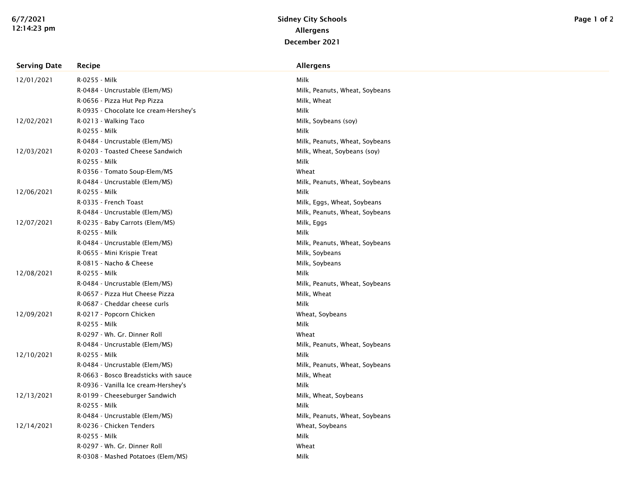| <b>Serving Date</b> | Recipe                                 | <b>Allergens</b>               |
|---------------------|----------------------------------------|--------------------------------|
| 12/01/2021          | R-0255 - Milk                          | Milk                           |
|                     | R-0484 - Uncrustable (Elem/MS)         | Milk, Peanuts, Wheat, Soybeans |
|                     | R-0656 - Pizza Hut Pep Pizza           | Milk, Wheat                    |
|                     | R-0935 - Chocolate Ice cream-Hershey's | Milk                           |
| 12/02/2021          | R-0213 - Walking Taco                  | Milk, Soybeans (soy)           |
|                     | R-0255 - Milk                          | Milk                           |
|                     | R-0484 - Uncrustable (Elem/MS)         | Milk, Peanuts, Wheat, Soybeans |
| 12/03/2021          | R-0203 - Toasted Cheese Sandwich       | Milk, Wheat, Soybeans (soy)    |
|                     | R-0255 - Milk                          | Milk                           |
|                     | R-0356 - Tomato Soup-Elem/MS           | Wheat                          |
|                     | R-0484 - Uncrustable (Elem/MS)         | Milk, Peanuts, Wheat, Soybeans |
| 12/06/2021          | R-0255 - Milk                          | Milk                           |
|                     | R-0335 - French Toast                  | Milk, Eggs, Wheat, Soybeans    |
|                     | R-0484 - Uncrustable (Elem/MS)         | Milk, Peanuts, Wheat, Soybeans |
| 12/07/2021          | R-0235 - Baby Carrots (Elem/MS)        | Milk, Eggs                     |
|                     | R-0255 - Milk                          | Milk                           |
|                     | R-0484 - Uncrustable (Elem/MS)         | Milk, Peanuts, Wheat, Soybeans |
|                     | R-0655 - Mini Krispie Treat            | Milk, Soybeans                 |
|                     | R-0815 - Nacho & Cheese                | Milk, Soybeans                 |
| 12/08/2021          | R-0255 - Milk                          | Milk                           |
|                     | R-0484 - Uncrustable (Elem/MS)         | Milk, Peanuts, Wheat, Soybeans |
|                     | R-0657 - Pizza Hut Cheese Pizza        | Milk, Wheat                    |
|                     | R-0687 - Cheddar cheese curls          | Milk                           |
| 12/09/2021          | R-0217 - Popcorn Chicken               | Wheat, Soybeans                |
|                     | R-0255 - Milk                          | Milk                           |
|                     | R-0297 - Wh. Gr. Dinner Roll           | Wheat                          |
|                     | R-0484 - Uncrustable (Elem/MS)         | Milk, Peanuts, Wheat, Soybeans |
| 12/10/2021          | R-0255 - Milk                          | Milk                           |
|                     | R-0484 - Uncrustable (Elem/MS)         | Milk, Peanuts, Wheat, Soybeans |
|                     | R-0663 - Bosco Breadsticks with sauce  | Milk, Wheat                    |
|                     | R-0936 - Vanilla Ice cream-Hershey's   | Milk                           |
| 12/13/2021          | R-0199 - Cheeseburger Sandwich         | Milk, Wheat, Soybeans          |
|                     | R-0255 - Milk                          | Milk                           |
|                     | R-0484 - Uncrustable (Elem/MS)         | Milk, Peanuts, Wheat, Soybeans |
| 12/14/2021          | R-0236 - Chicken Tenders               | Wheat, Soybeans                |
|                     | R-0255 - Milk                          | Milk                           |
|                     | R-0297 - Wh. Gr. Dinner Roll           | Wheat                          |
|                     | R-0308 - Mashed Potatoes (Elem/MS)     | Milk                           |